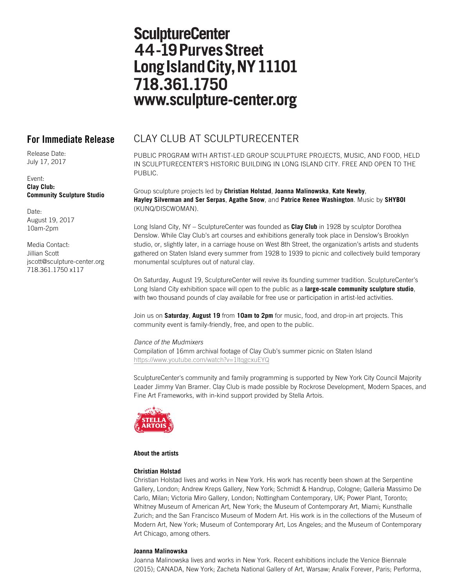# **SculptureCenter** 44-19 Purves Street Long Island City, NY 11101 718.361.1750 www.sculpture-center.org

Release Date: July 17, 2017

Event: **Clay Club: Community Sculpture Studio**

Date: August 19, 2017 10am-2pm

Media Contact: Jillian Scott jscott@sculpture-center.org 718.361.1750 x117

## **For Immediate Release** CLAY CLUB AT SCULPTURECENTER

PUBLIC PROGRAM WITH ARTIST-LED GROUP SCULPTURE PROJECTS, MUSIC, AND FOOD, HELD IN SCULPTURECENTER'S HISTORIC BUILDING IN LONG ISLAND CITY. FREE AND OPEN TO THE PUBLIC.

Group sculpture projects led by **Christian Holstad**, **Joanna Malinowska**, **Kate Newby**, **Hayley Silverman and Ser Serpas**, **Agathe Snow**, and **Patrice Renee Washington**. Music by **SHYBOI** (KUNQ/DISCWOMAN).

Long Island City, NY – SculptureCenter was founded as **Clay Club** in 1928 by sculptor Dorothea Denslow. While Clay Club's art courses and exhibitions generally took place in Denslow's Brooklyn studio, or, slightly later, in a carriage house on West 8th Street, the organization's artists and students gathered on Staten Island every summer from 1928 to 1939 to picnic and collectively build temporary monumental sculptures out of natural clay.

On Saturday, August 19, SculptureCenter will revive its founding summer tradition. SculptureCenter's Long Island City exhibition space will open to the public as a **large-scale community sculpture studio**, with two thousand pounds of clay available for free use or participation in artist-led activities.

Join us on **Saturday**, **August 19** from **10am to 2pm** for music, food, and drop-in art projects. This community event is family-friendly, free, and open to the public.

*Dance of the Mudmixers* Compilation of 16mm archival footage of Clay Club's summer picnic on Staten Island https://www.youtube.com/watch?v=1ltqgcxuEYQ

SculptureCenter's community and family programming is supported by New York City Council Majority Leader Jimmy Van Bramer. Clay Club is made possible by Rockrose Development, Modern Spaces, and Fine Art Frameworks, with in-kind support provided by Stella Artois.



### **About the artists**

### **Christian Holstad**

Christian Holstad lives and works in New York. His work has recently been shown at the Serpentine Gallery, London; Andrew Kreps Gallery, New York; Schmidt & Handrup, Cologne; Galleria Massimo De Carlo, Milan; Victoria Miro Gallery, London; Nottingham Contemporary, UK; Power Plant, Toronto; Whitney Museum of American Art, New York; the Museum of Contemporary Art, Miami; Kunsthalle Zurich; and the San Francisco Museum of Modern Art. His work is in the collections of the Museum of Modern Art, New York; Museum of Contemporary Art, Los Angeles; and the Museum of Contemporary Art Chicago, among others.

### **Joanna Malinowska**

Joanna Malinowska lives and works in New York. Recent exhibitions include the Venice Biennale (2015); CANADA, New York; Zacheta National Gallery of Art, Warsaw; Analix Forever, Paris; Performa,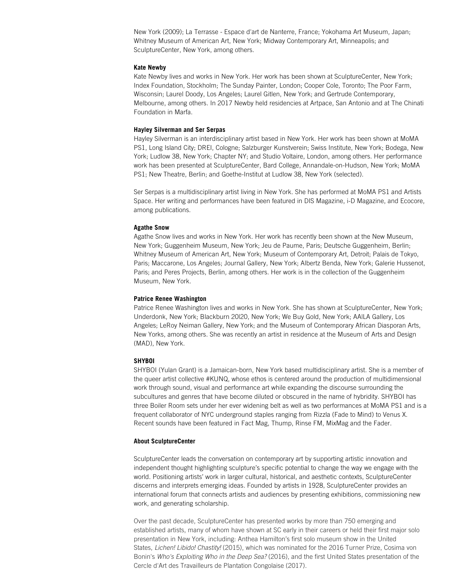New York (2009); La Terrasse - Espace d'art de Nanterre, France; Yokohama Art Museum, Japan; Whitney Museum of American Art, New York; Midway Contemporary Art, Minneapolis; and SculptureCenter, New York, among others.

#### **Kate Newby**

Kate Newby lives and works in New York. Her work has been shown at SculptureCenter, New York; Index Foundation, Stockholm; The Sunday Painter, London; Cooper Cole, Toronto; The Poor Farm, Wisconsin; Laurel Doody, Los Angeles; Laurel Gitlen, New York; and Gertrude Contemporary, Melbourne, among others. In 2017 Newby held residencies at Artpace, San Antonio and at The Chinati Foundation in Marfa.

#### **Hayley Silverman and Ser Serpas**

Hayley Silverman is an interdisciplinary artist based in New York. Her work has been shown at MoMA PS1, Long Island City; DREI, Cologne; Salzburger Kunstverein; Swiss Institute, New York; Bodega, New York; Ludlow 38, New York; Chapter NY; and Studio Voltaire, London, among others. Her performance work has been presented at SculptureCenter, Bard College, Annandale-on-Hudson, New York; MoMA PS1; New Theatre, Berlin; and Goethe-Institut at Ludlow 38, New York (selected).

Ser Serpas is a multidisciplinary artist living in New York. She has performed at MoMA PS1 and Artists Space. Her writing and performances have been featured in DIS Magazine, i-D Magazine, and Ecocore, among publications.

#### **Agathe Snow**

Agathe Snow lives and works in New York. Her work has recently been shown at the New Museum, New York; Guggenheim Museum, New York; Jeu de Paume, Paris; Deutsche Guggenheim, Berlin; Whitney Museum of American Art, New York; Museum of Contemporary Art, Detroit; Palais de Tokyo, Paris; Maccarone, Los Angeles; Journal Gallery, New York; Albertz Benda, New York; Galerie Hussenot, Paris; and Peres Projects, Berlin, among others. Her work is in the collection of the Guggenheim Museum, New York.

#### **Patrice Renee Washington**

Patrice Renee Washington lives and works in New York. She has shown at SculptureCenter, New York; Underdonk, New York; Blackburn 20|20, New York; We Buy Gold, New York; AA|LA Gallery, Los Angeles; LeRoy Neiman Gallery, New York; and the Museum of Contemporary African Diasporan Arts, New Yorks, among others. She was recently an artist in residence at the Museum of Arts and Design (MAD), New York.

#### **SHYBOI**

SHYBOI (Yulan Grant) is a Jamaican-born, New York based multidisciplinary artist. She is a member of the queer artist collective #KUNQ, whose ethos is centered around the production of multidimensional work through sound, visual and performance art while expanding the discourse surrounding the subcultures and genres that have become diluted or obscured in the name of hybridity. SHYBOI has three Boiler Room sets under her ever widening belt as well as two performances at MoMA PS1 and is a frequent collaborator of NYC underground staples ranging from Rizzla (Fade to Mind) to Venus X. Recent sounds have been featured in Fact Mag, Thump, Rinse FM, MixMag and the Fader.

#### **About SculptureCenter**

SculptureCenter leads the conversation on contemporary art by supporting artistic innovation and independent thought highlighting sculpture's specific potential to change the way we engage with the world. Positioning artists' work in larger cultural, historical, and aesthetic contexts, SculptureCenter discerns and interprets emerging ideas. Founded by artists in 1928, SculptureCenter provides an international forum that connects artists and audiences by presenting exhibitions, commissioning new work, and generating scholarship.

Over the past decade, SculptureCenter has presented works by more than 750 emerging and established artists, many of whom have shown at SC early in their careers or held their first major solo presentation in New York, including: Anthea Hamilton's first solo museum show in the United States, *Lichen! Libido! Chastity!* (2015), which was nominated for the 2016 Turner Prize, Cosima von Bonin's *Who's Exploiting Who in the Deep Sea?* (2016), and the first United States presentation of the Cercle d'Art des Travailleurs de Plantation Congolaise (2017).